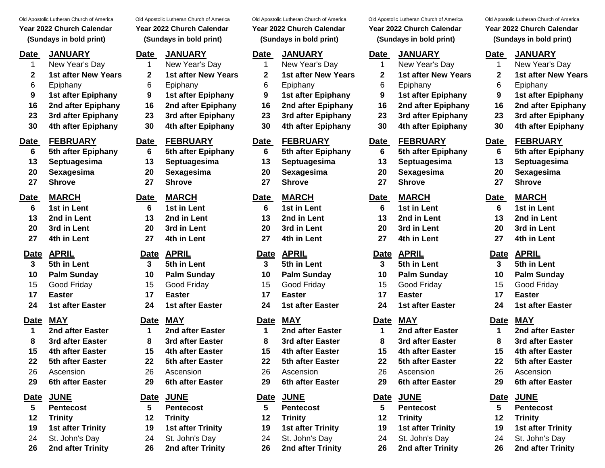- 
- 
- 
- 

- 
- 
- 
- 
- 
- 

- 
- 
- 
- 
- 

| Old Apostolic Lutheran Church of America<br>Year 2022 Church Calendar<br>(Sundays in bold print) |                            | Old Apostolic Lutheran Church of America<br>Year 2022 Church Calendar<br>(Sundays in bold print) |                            | Old Apostolic Lutheran Church of America<br>Year 2022 Church Calendar<br>(Sundays in bold print) |                            | Old Apostolic Lutheran Church of America<br>Year 2022 Church Calendar<br>(Sundays in bold print) |                            | Old Apostolic Lutheran Church             |                  |  |
|--------------------------------------------------------------------------------------------------|----------------------------|--------------------------------------------------------------------------------------------------|----------------------------|--------------------------------------------------------------------------------------------------|----------------------------|--------------------------------------------------------------------------------------------------|----------------------------|-------------------------------------------|------------------|--|
|                                                                                                  |                            |                                                                                                  |                            |                                                                                                  |                            |                                                                                                  |                            | Year 2022 Church Ca<br>(Sundays in bold p |                  |  |
| <u>Date</u>                                                                                      | <b>JANUARY</b>             | <b>Date</b>                                                                                      | <b>JANUARY</b>             | <b>Date</b>                                                                                      | <b>JANUARY</b>             | Date                                                                                             | <b>JANUARY</b>             | <b>Date</b>                               | <b>JANUARY</b>   |  |
| 1                                                                                                | New Year's Day             |                                                                                                  | New Year's Day             | 1                                                                                                | New Year's Day             | 1                                                                                                | New Year's Day             |                                           | New Year's       |  |
| $\mathbf{2}$                                                                                     | <b>1st after New Years</b> | 2                                                                                                | <b>1st after New Years</b> | $\mathbf{2}$                                                                                     | <b>1st after New Years</b> | 2                                                                                                | <b>1st after New Years</b> | 2                                         | 1st after Ne     |  |
| 6                                                                                                | Epiphany                   | 6                                                                                                | Epiphany                   | 6                                                                                                | Epiphany                   | 6                                                                                                | Epiphany                   | 6                                         | Epiphany         |  |
| 9                                                                                                | 1st after Epiphany         | $\boldsymbol{9}$                                                                                 | 1st after Epiphany         | 9                                                                                                | 1st after Epiphany         | $\boldsymbol{9}$                                                                                 | 1st after Epiphany         | 9                                         | 1st after Ep     |  |
| 16                                                                                               | 2nd after Epiphany         | 16                                                                                               | 2nd after Epiphany         | 16                                                                                               | 2nd after Epiphany         | 16                                                                                               | 2nd after Epiphany         | 16                                        | 2nd after E      |  |
| 23                                                                                               | 3rd after Epiphany         | 23                                                                                               | 3rd after Epiphany         | 23                                                                                               | 3rd after Epiphany         | 23                                                                                               | 3rd after Epiphany         | 23                                        | 3rd after Ep     |  |
| 30                                                                                               | 4th after Epiphany         | 30                                                                                               | 4th after Epiphany         | 30                                                                                               | 4th after Epiphany         | 30                                                                                               | 4th after Epiphany         | 30                                        | 4th after Ep     |  |
| <u>Date</u>                                                                                      | <b>FEBRUARY</b>            | Date                                                                                             | <b>FEBRUARY</b>            | <b>Date</b>                                                                                      | <b>FEBRUARY</b>            | <b>Date</b>                                                                                      | <b>FEBRUARY</b>            | <b>Date</b>                               | <b>FEBRUAR</b>   |  |
| 6                                                                                                | 5th after Epiphany         | 6                                                                                                | 5th after Epiphany         | 6                                                                                                | 5th after Epiphany         | 6                                                                                                | 5th after Epiphany         | 6                                         | 5th after Ep     |  |
| 13                                                                                               | Septuagesima               | 13                                                                                               | Septuagesima               | 13                                                                                               | Septuagesima               | 13                                                                                               | Septuagesima               | 13                                        | Septuages        |  |
| 20                                                                                               | Sexagesima                 | 20                                                                                               | Sexagesima                 | 20                                                                                               | Sexagesima                 | 20                                                                                               | Sexagesima                 | 20                                        | Sexagesim        |  |
| 27                                                                                               | <b>Shrove</b>              | 27                                                                                               | <b>Shrove</b>              | 27                                                                                               | <b>Shrove</b>              | 27                                                                                               | <b>Shrove</b>              | 27                                        | <b>Shrove</b>    |  |
| <u>Date</u>                                                                                      | <b>MARCH</b>               | Date                                                                                             | <b>MARCH</b>               | Date                                                                                             | <b>MARCH</b>               | Date                                                                                             | <b>MARCH</b>               | Date                                      | <b>MARCH</b>     |  |
| 6                                                                                                | 1st in Lent                | 6                                                                                                | 1st in Lent                | 6                                                                                                | 1st in Lent                | 6                                                                                                | 1st in Lent                | 6                                         | 1st in Lent      |  |
| 13                                                                                               | 2nd in Lent                | 13                                                                                               | 2nd in Lent                | 13                                                                                               | 2nd in Lent                | 13                                                                                               | 2nd in Lent                | 13                                        | 2nd in Lent      |  |
| 20                                                                                               | 3rd in Lent                | 20                                                                                               | 3rd in Lent                | 20                                                                                               | 3rd in Lent                | 20                                                                                               | 3rd in Lent                | 20                                        | 3rd in Lent      |  |
| 27                                                                                               | 4th in Lent                | 27                                                                                               | 4th in Lent                | 27                                                                                               | 4th in Lent                | 27                                                                                               | 4th in Lent                | 27                                        | 4th in Lent      |  |
| <b>Date</b>                                                                                      | <b>APRIL</b>               |                                                                                                  | Date APRIL                 | <u>Date</u>                                                                                      | <b>APRIL</b>               | <u>Date</u>                                                                                      | <b>APRIL</b>               | <b>Date</b>                               | <b>APRIL</b>     |  |
| 3                                                                                                | 5th in Lent                | 3                                                                                                | 5th in Lent                | 3                                                                                                | 5th in Lent                | 3                                                                                                | 5th in Lent                | 3                                         | 5th in Lent      |  |
| 10                                                                                               | <b>Palm Sunday</b>         | 10                                                                                               | <b>Palm Sunday</b>         | 10                                                                                               | <b>Palm Sunday</b>         | 10                                                                                               | <b>Palm Sunday</b>         | 10                                        | <b>Palm Sund</b> |  |
| 15                                                                                               | Good Friday                | 15                                                                                               | Good Friday                | 15                                                                                               | Good Friday                | 15                                                                                               | Good Friday                | 15                                        | Good Friday      |  |
| 17                                                                                               | <b>Easter</b>              | 17                                                                                               | <b>Easter</b>              | 17                                                                                               | <b>Easter</b>              | 17                                                                                               | <b>Easter</b>              | 17                                        | <b>Easter</b>    |  |
| 24                                                                                               | <b>1st after Faster</b>    | 24                                                                                               | 1st after Faster           | 24                                                                                               | <b>1st after Faster</b>    | 24                                                                                               | 1st after Faster           | 24                                        | 1st after $Fz$   |  |

- 
- 
- 
- 
- 

# **Date JUNE Date JUNE Date JUNE Date JUNE Date JUNE**

- 
- 
- 
- 

**2 1st after New Years 2 1st after New Years 2 1st after New Years 2 1st after New Years 2 1st after New Years** 6 Epiphany 6 Epiphany 6 Epiphany 6 Epiphany 6 Epiphany **9 1st after Epiphany 9 1st after Epiphany 9 1st after Epiphany 9 1st after Epiphany 9 1st after Epiphany 16 2nd after Epiphany 16 2nd after Epiphany 16 2nd after Epiphany 16 2nd after Epiphany 16 2nd after Epiphany 23 3rd after Epiphany 23 3rd after Epiphany 23 3rd after Epiphany 23 3rd after Epiphany 23 3rd after Epiphany 30 4th after Epiphany 30 4th after Epiphany 30 4th after Epiphany 30 4th after Epiphany 30 4th after Epiphany Date FEBRUARY Date FEBRUARY Date FEBRUARY Date FEBRUARY Date FEBRUARY 6 5th after Epiphany 6 5th after Epiphany 6 5th after Epiphany 6 5th after Epiphany 6 5th after Epiphany 13 Septuagesima 13 Septuagesima 13 Septuagesima 13 Septuagesima 13 Septuagesima 20 Sexagesima 20 Sexagesima 20 Sexagesima 20 Sexagesima 20 Sexagesima 27 Shrove 27 Shrove 27 Shrove 27 Shrove 27 Shrove Date MARCH Date MARCH Date MARCH Date MARCH Date MARCH 6 1st in Lent 6 1st in Lent 6 1st in Lent 6 1st in Lent 6 1st in Lent 13 2nd in Lent 13 2nd in Lent 13 2nd in Lent 13 2nd in Lent 13 2nd in Lent 20 3rd in Lent 20 3rd in Lent 20 3rd in Lent 20 3rd in Lent 20 3rd in Lent 27 4th in Lent 27 4th in Lent 27 4th in Lent 27 4th in Lent 27 4th in Lent Date APRIL Date APRIL Date APRIL Date APRIL Date APRIL 3 5th in Lent 3 5th in Lent 3 5th in Lent 3 5th in Lent 3 5th in Lent 10 Palm Sunday 10 Palm Sunday 10 Palm Sunday 10 Palm Sunday 10 Palm Sunday** 15 Good Friday 15 Good Friday 15 Good Friday 15 Good Friday 15 Good Friday **17 Easter 17 Easter 17 Easter 17 Easter 17 Easter 24 1st after Easter 24 1st after Easter 24 1st after Easter 24 1st after Easter 24 1st after Easter Date MAY Date MAY Date MAY Date MAY Date MAY 1 2nd after Easter 1 2nd after Easter 1 2nd after Easter 1 2nd after Easter 1 2nd after Easter 8 3rd after Easter 8 3rd after Easter 8 3rd after Easter 8 3rd after Easter 8 3rd after Easter 15 4th after Easter 15 4th after Easter 15 4th after Easter 15 4th after Easter 15 4th after Easter 22 5th after Easter 22 5th after Easter 22 5th after Easter 22 5th after Easter 22 5th after Easter** 26 Ascension 26 Ascension 26 Ascension 26 Ascension 26 Ascension

- 
- 
- 
- 

# **(Sundays in bold print) (Sundays in bold print) (Sundays in bold print) (Sundays in bold print) (Sundays in bold print)**

# 1 New Year's Day 1 New Year's Day 1 New Year's Day 1 New Year's Day 1 New Year's Day

- 
- 
- 
- 

- 
- 
- 
- 
- 

- 
- 
- 
- 
- 

- 
- 
- 
- 
- 

- 
- 
- 
- 
- 

- 
- 
- 
- 
- 
- **29 6th after Easter 29 6th after Easter 29 6th after Easter 29 6th after Easter 29 6th after Easter**

- **5 Pentecost 5 Pentecost 5 Pentecost 5 Pentecost 5 Pentecost**
- **12 Trinity 12 Trinity 12 Trinity 12 Trinity 12 Trinity**
- **19 1st after Trinity 19 1st after Trinity 19 1st after Trinity 19 1st after Trinity 19 1st after Trinity**
- 24 St. John's Day 24 St. John's Day 24 St. John's Day 24 St. John's Day 24 St. John's Day
- **26 2nd after Trinity 26 2nd after Trinity 26 2nd after Trinity 26 2nd after Trinity 26 2nd after Trinity**